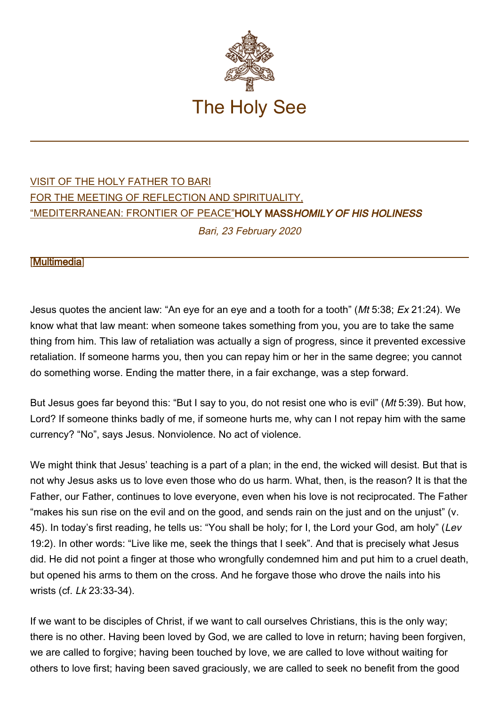

## [VISIT OF THE HOLY FATHER TO BARI](http://w2.vatican.va/content/francesco/en/travels/2020/inside/documents/papa-francesco-bari_2020.html) [FOR THE MEETING OF REFLECTION AND SPIRITUALITY,](http://w2.vatican.va/content/francesco/en/travels/2020/inside/documents/papa-francesco-bari_2020.html) ["MEDITERRANEAN: FRONTIER OF PEACE"H](http://w2.vatican.va/content/francesco/en/travels/2020/inside/documents/papa-francesco-bari_2020.html)OLY MASSHOMILY OF HIS HOLINESS Bari, 23 February 2020

## [\[Multimedia](http://w2.vatican.va/content/francesco/en/events/event.dir.html/content/vaticanevents/en/2020/2/23/messa-bari.html)]

Jesus quotes the ancient law: "An eye for an eye and a tooth for a tooth" (Mt 5:38; Ex 21:24). We know what that law meant: when someone takes something from you, you are to take the same thing from him. This law of retaliation was actually a sign of progress, since it prevented excessive retaliation. If someone harms you, then you can repay him or her in the same degree; you cannot do something worse. Ending the matter there, in a fair exchange, was a step forward.

But Jesus goes far beyond this: "But I say to you, do not resist one who is evil" (Mt 5:39). But how, Lord? If someone thinks badly of me, if someone hurts me, why can I not repay him with the same currency? "No", says Jesus. Nonviolence. No act of violence.

We might think that Jesus' teaching is a part of a plan; in the end, the wicked will desist. But that is not why Jesus asks us to love even those who do us harm. What, then, is the reason? It is that the Father, our Father, continues to love everyone, even when his love is not reciprocated. The Father "makes his sun rise on the evil and on the good, and sends rain on the just and on the unjust" (v. 45). In today's first reading, he tells us: "You shall be holy; for I, the Lord your God, am holy" (Lev 19:2). In other words: "Live like me, seek the things that I seek". And that is precisely what Jesus did. He did not point a finger at those who wrongfully condemned him and put him to a cruel death, but opened his arms to them on the cross. And he forgave those who drove the nails into his wrists (cf. Lk 23:33-34).

If we want to be disciples of Christ, if we want to call ourselves Christians, this is the only way; there is no other. Having been loved by God, we are called to love in return; having been forgiven, we are called to forgive; having been touched by love, we are called to love without waiting for others to love first; having been saved graciously, we are called to seek no benefit from the good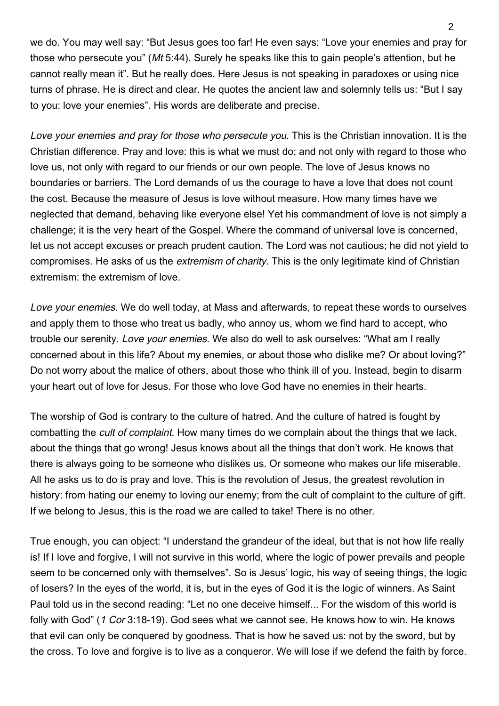we do. You may well say: "But Jesus goes too far! He even says: "Love your enemies and pray for those who persecute you" (Mt 5:44). Surely he speaks like this to gain people's attention, but he cannot really mean it". But he really does. Here Jesus is not speaking in paradoxes or using nice turns of phrase. He is direct and clear. He quotes the ancient law and solemnly tells us: "But I say to you: love your enemies". His words are deliberate and precise.

Love your enemies and pray for those who persecute you. This is the Christian innovation. It is the Christian difference. Pray and love: this is what we must do; and not only with regard to those who love us, not only with regard to our friends or our own people. The love of Jesus knows no boundaries or barriers. The Lord demands of us the courage to have a love that does not count the cost. Because the measure of Jesus is love without measure. How many times have we neglected that demand, behaving like everyone else! Yet his commandment of love is not simply a challenge; it is the very heart of the Gospel. Where the command of universal love is concerned, let us not accept excuses or preach prudent caution. The Lord was not cautious; he did not yield to compromises. He asks of us the *extremism of charity*. This is the only legitimate kind of Christian extremism: the extremism of love.

Love your enemies. We do well today, at Mass and afterwards, to repeat these words to ourselves and apply them to those who treat us badly, who annoy us, whom we find hard to accept, who trouble our serenity. Love your enemies. We also do well to ask ourselves: "What am I really concerned about in this life? About my enemies, or about those who dislike me? Or about loving?" Do not worry about the malice of others, about those who think ill of you. Instead, begin to disarm your heart out of love for Jesus. For those who love God have no enemies in their hearts.

The worship of God is contrary to the culture of hatred. And the culture of hatred is fought by combatting the cult of complaint. How many times do we complain about the things that we lack, about the things that go wrong! Jesus knows about all the things that don't work. He knows that there is always going to be someone who dislikes us. Or someone who makes our life miserable. All he asks us to do is pray and love. This is the revolution of Jesus, the greatest revolution in history: from hating our enemy to loving our enemy; from the cult of complaint to the culture of gift. If we belong to Jesus, this is the road we are called to take! There is no other.

True enough, you can object: "I understand the grandeur of the ideal, but that is not how life really is! If I love and forgive, I will not survive in this world, where the logic of power prevails and people seem to be concerned only with themselves". So is Jesus' logic, his way of seeing things, the logic of losers? In the eyes of the world, it is, but in the eyes of God it is the logic of winners. As Saint Paul told us in the second reading: "Let no one deceive himself... For the wisdom of this world is folly with God" (1 Cor 3:18-19). God sees what we cannot see. He knows how to win. He knows that evil can only be conquered by goodness. That is how he saved us: not by the sword, but by the cross. To love and forgive is to live as a conqueror. We will lose if we defend the faith by force.